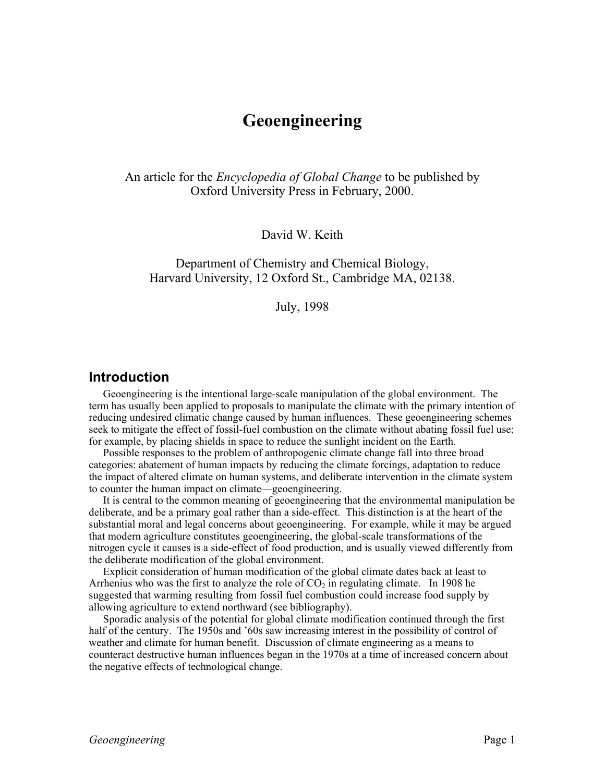# **Geoengineering**

An article for the *Encyclopedia of Global Change* to be published by Oxford University Press in February, 2000.

David W. Keith

Department of Chemistry and Chemical Biology, Harvard University, 12 Oxford St., Cambridge MA, 02138.

July, 1998

## **Introduction**

Geoengineering is the intentional large-scale manipulation of the global environment. The term has usually been applied to proposals to manipulate the climate with the primary intention of reducing undesired climatic change caused by human influences. These geoengineering schemes seek to mitigate the effect of fossil-fuel combustion on the climate without abating fossil fuel use; for example, by placing shields in space to reduce the sunlight incident on the Earth.

Possible responses to the problem of anthropogenic climate change fall into three broad categories: abatement of human impacts by reducing the climate forcings, adaptation to reduce the impact of altered climate on human systems, and deliberate intervention in the climate system to counter the human impact on climate—geoengineering.

It is central to the common meaning of geoengineering that the environmental manipulation be deliberate, and be a primary goal rather than a side-effect. This distinction is at the heart of the substantial moral and legal concerns about geoengineering. For example, while it may be argued that modern agriculture constitutes geoengineering, the global-scale transformations of the nitrogen cycle it causes is a side-effect of food production, and is usually viewed differently from the deliberate modification of the global environment.

Explicit consideration of human modification of the global climate dates back at least to Arrhenius who was the first to analyze the role of  $CO<sub>2</sub>$  in regulating climate. In 1908 he suggested that warming resulting from fossil fuel combustion could increase food supply by allowing agriculture to extend northward (see bibliography).

Sporadic analysis of the potential for global climate modification continued through the first half of the century. The 1950s and '60s saw increasing interest in the possibility of control of weather and climate for human benefit. Discussion of climate engineering as a means to counteract destructive human influences began in the 1970s at a time of increased concern about the negative effects of technological change.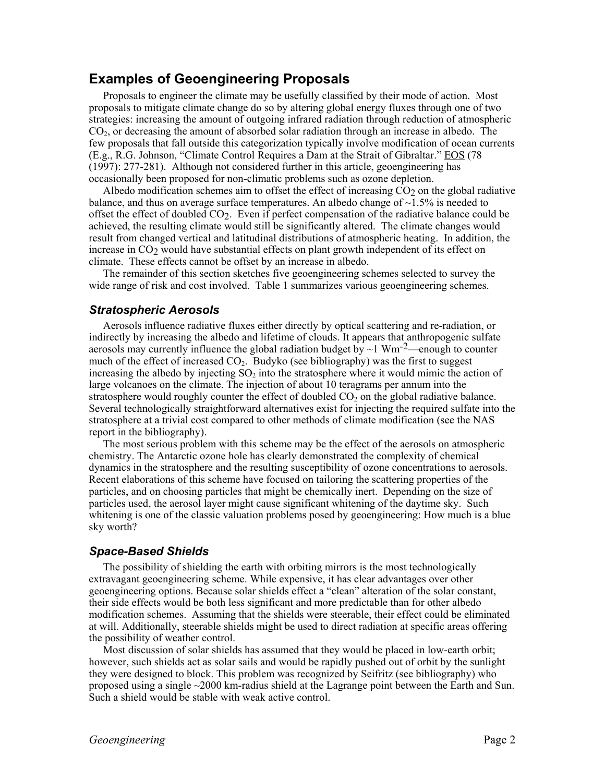## **Examples of Geoengineering Proposals**

Proposals to engineer the climate may be usefully classified by their mode of action. Most proposals to mitigate climate change do so by altering global energy fluxes through one of two strategies: increasing the amount of outgoing infrared radiation through reduction of atmospheric  $CO<sub>2</sub>$ , or decreasing the amount of absorbed solar radiation through an increase in albedo. The few proposals that fall outside this categorization typically involve modification of ocean currents (E.g., R.G. Johnson, "Climate Control Requires a Dam at the Strait of Gibraltar." EOS (78 (1997): 277-281). Although not considered further in this article, geoengineering has occasionally been proposed for non-climatic problems such as ozone depletion.

Albedo modification schemes aim to offset the effect of increasing  $CO<sub>2</sub>$  on the global radiative balance, and thus on average surface temperatures. An albedo change of  $\sim$ 1.5% is needed to offset the effect of doubled CO2. Even if perfect compensation of the radiative balance could be achieved, the resulting climate would still be significantly altered. The climate changes would result from changed vertical and latitudinal distributions of atmospheric heating. In addition, the increase in CO<sub>2</sub> would have substantial effects on plant growth independent of its effect on climate. These effects cannot be offset by an increase in albedo.

The remainder of this section sketches five geoengineering schemes selected to survey the wide range of risk and cost involved. Table 1 summarizes various geoengineering schemes.

#### *Stratospheric Aerosols*

Aerosols influence radiative fluxes either directly by optical scattering and re-radiation, or indirectly by increasing the albedo and lifetime of clouds. It appears that anthropogenic sulfate aerosols may currently influence the global radiation budget by  $\sim$ 1 Wm<sup>-2</sup>—enough to counter much of the effect of increased  $CO<sub>2</sub>$ . Budyko (see bibliography) was the first to suggest increasing the albedo by injecting  $SO<sub>2</sub>$  into the stratosphere where it would mimic the action of large volcanoes on the climate. The injection of about 10 teragrams per annum into the stratosphere would roughly counter the effect of doubled  $CO<sub>2</sub>$  on the global radiative balance. Several technologically straightforward alternatives exist for injecting the required sulfate into the stratosphere at a trivial cost compared to other methods of climate modification (see the NAS report in the bibliography).

The most serious problem with this scheme may be the effect of the aerosols on atmospheric chemistry. The Antarctic ozone hole has clearly demonstrated the complexity of chemical dynamics in the stratosphere and the resulting susceptibility of ozone concentrations to aerosols. Recent elaborations of this scheme have focused on tailoring the scattering properties of the particles, and on choosing particles that might be chemically inert. Depending on the size of particles used, the aerosol layer might cause significant whitening of the daytime sky. Such whitening is one of the classic valuation problems posed by geoengineering: How much is a blue sky worth?

#### *Space-Based Shields*

The possibility of shielding the earth with orbiting mirrors is the most technologically extravagant geoengineering scheme. While expensive, it has clear advantages over other geoengineering options. Because solar shields effect a "clean" alteration of the solar constant, their side effects would be both less significant and more predictable than for other albedo modification schemes. Assuming that the shields were steerable, their effect could be eliminated at will. Additionally, steerable shields might be used to direct radiation at specific areas offering the possibility of weather control.

Most discussion of solar shields has assumed that they would be placed in low-earth orbit; however, such shields act as solar sails and would be rapidly pushed out of orbit by the sunlight they were designed to block. This problem was recognized by Seifritz (see bibliography) who proposed using a single ~2000 km-radius shield at the Lagrange point between the Earth and Sun. Such a shield would be stable with weak active control.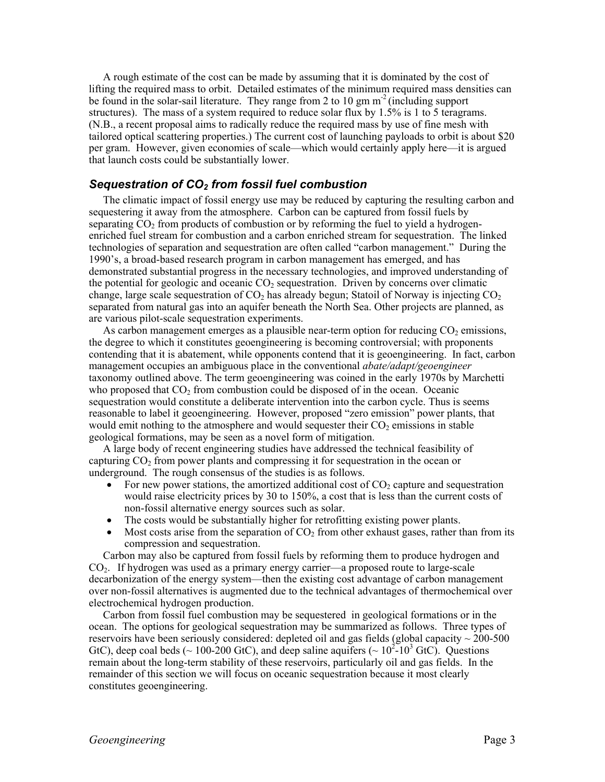A rough estimate of the cost can be made by assuming that it is dominated by the cost of lifting the required mass to orbit. Detailed estimates of the minimum required mass densities can be found in the solar-sail literature. They range from 2 to 10 gm  $m<sup>2</sup>$  (including support structures). The mass of a system required to reduce solar flux by 1.5% is 1 to 5 teragrams. (N.B., a recent proposal aims to radically reduce the required mass by use of fine mesh with tailored optical scattering properties.) The current cost of launching payloads to orbit is about \$20 per gram. However, given economies of scale—which would certainly apply here—it is argued that launch costs could be substantially lower.

## *Sequestration of CO2 from fossil fuel combustion*

The climatic impact of fossil energy use may be reduced by capturing the resulting carbon and sequestering it away from the atmosphere. Carbon can be captured from fossil fuels by separating  $CO<sub>2</sub>$  from products of combustion or by reforming the fuel to yield a hydrogenenriched fuel stream for combustion and a carbon enriched stream for sequestration. The linked technologies of separation and sequestration are often called "carbon management." During the 1990's, a broad-based research program in carbon management has emerged, and has demonstrated substantial progress in the necessary technologies, and improved understanding of the potential for geologic and oceanic  $CO<sub>2</sub>$  sequestration. Driven by concerns over climatic change, large scale sequestration of  $CO<sub>2</sub>$  has already begun; Statoil of Norway is injecting  $CO<sub>2</sub>$ separated from natural gas into an aquifer beneath the North Sea. Other projects are planned, as are various pilot-scale sequestration experiments.

As carbon management emerges as a plausible near-term option for reducing  $CO<sub>2</sub>$  emissions, the degree to which it constitutes geoengineering is becoming controversial; with proponents contending that it is abatement, while opponents contend that it is geoengineering. In fact, carbon management occupies an ambiguous place in the conventional *abate/adapt/geoengineer* taxonomy outlined above. The term geoengineering was coined in the early 1970s by Marchetti who proposed that  $CO<sub>2</sub>$  from combustion could be disposed of in the ocean. Oceanic sequestration would constitute a deliberate intervention into the carbon cycle. Thus is seems reasonable to label it geoengineering. However, proposed "zero emission" power plants, that would emit nothing to the atmosphere and would sequester their  $CO<sub>2</sub>$  emissions in stable geological formations, may be seen as a novel form of mitigation.

A large body of recent engineering studies have addressed the technical feasibility of capturing  $CO<sub>2</sub>$  from power plants and compressing it for sequestration in the ocean or underground. The rough consensus of the studies is as follows.

- For new power stations, the amortized additional cost of  $CO<sub>2</sub>$  capture and sequestration would raise electricity prices by 30 to 150%, a cost that is less than the current costs of non-fossil alternative energy sources such as solar.
- The costs would be substantially higher for retrofitting existing power plants.
- Most costs arise from the separation of  $CO<sub>2</sub>$  from other exhaust gases, rather than from its compression and sequestration.

Carbon may also be captured from fossil fuels by reforming them to produce hydrogen and  $CO<sub>2</sub>$ . If hydrogen was used as a primary energy carrier—a proposed route to large-scale decarbonization of the energy system—then the existing cost advantage of carbon management over non-fossil alternatives is augmented due to the technical advantages of thermochemical over electrochemical hydrogen production.

Carbon from fossil fuel combustion may be sequestered in geological formations or in the ocean. The options for geological sequestration may be summarized as follows. Three types of reservoirs have been seriously considered: depleted oil and gas fields (global capacity  $\sim$  200-500 GtC), deep coal beds ( $\sim 100-200$  GtC), and deep saline aquifers ( $\sim 10^2$ -10<sup>3</sup> GtC). Questions remain about the long-term stability of these reservoirs, particularly oil and gas fields. In the remainder of this section we will focus on oceanic sequestration because it most clearly constitutes geoengineering.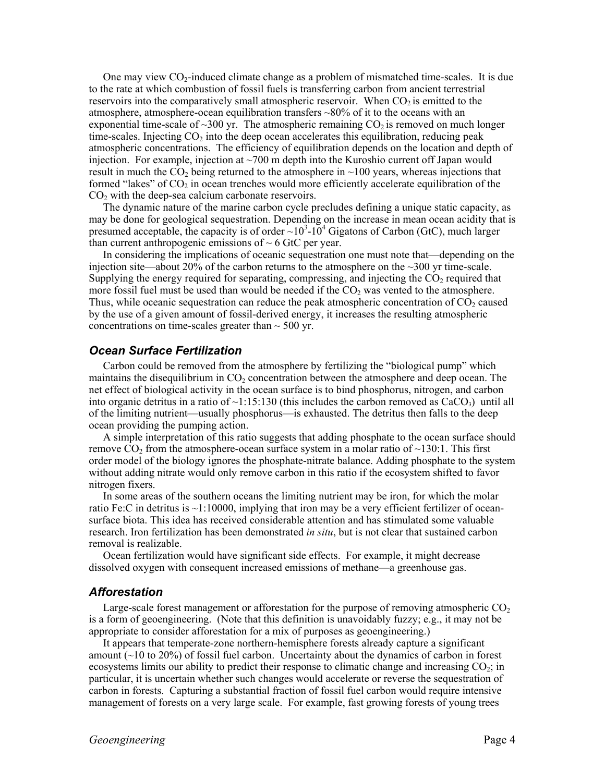One may view CO2-induced climate change as a problem of mismatched time-scales. It is due to the rate at which combustion of fossil fuels is transferring carbon from ancient terrestrial reservoirs into the comparatively small atmospheric reservoir. When  $CO<sub>2</sub>$  is emitted to the atmosphere, atmosphere-ocean equilibration transfers ~80% of it to the oceans with an exponential time-scale of  $\sim$ 300 yr. The atmospheric remaining CO<sub>2</sub> is removed on much longer time-scales. Injecting  $CO<sub>2</sub>$  into the deep ocean accelerates this equilibration, reducing peak atmospheric concentrations. The efficiency of equilibration depends on the location and depth of injection. For example, injection at  $\sim$ 700 m depth into the Kuroshio current off Japan would result in much the  $CO<sub>2</sub>$  being returned to the atmosphere in  $\sim$ 100 years, whereas injections that formed "lakes" of  $CO<sub>2</sub>$  in ocean trenches would more efficiently accelerate equilibration of the  $CO<sub>2</sub>$  with the deep-sea calcium carbonate reservoirs.

The dynamic nature of the marine carbon cycle precludes defining a unique static capacity, as may be done for geological sequestration. Depending on the increase in mean ocean acidity that is presumed acceptable, the capacity is of order  $\sim 10^3$ -10<sup>4</sup> Gigatons of Carbon (GtC), much larger than current anthropogenic emissions of  $\sim$  6 GtC per year.

In considering the implications of oceanic sequestration one must note that—depending on the injection site—about 20% of the carbon returns to the atmosphere on the ~300 yr time-scale. Supplying the energy required for separating, compressing, and injecting the  $CO<sub>2</sub>$  required that more fossil fuel must be used than would be needed if the  $CO<sub>2</sub>$  was vented to the atmosphere. Thus, while oceanic sequestration can reduce the peak atmospheric concentration of  $CO<sub>2</sub>$  caused by the use of a given amount of fossil-derived energy, it increases the resulting atmospheric concentrations on time-scales greater than  $\sim$  500 yr.

#### *Ocean Surface Fertilization*

Carbon could be removed from the atmosphere by fertilizing the "biological pump" which maintains the disequilibrium in  $CO<sub>2</sub>$  concentration between the atmosphere and deep ocean. The net effect of biological activity in the ocean surface is to bind phosphorus, nitrogen, and carbon into organic detritus in a ratio of  $\sim$ 1:15:130 (this includes the carbon removed as CaCO<sub>3</sub>) until all of the limiting nutrient—usually phosphorus—is exhausted. The detritus then falls to the deep ocean providing the pumping action.

A simple interpretation of this ratio suggests that adding phosphate to the ocean surface should remove  $CO<sub>2</sub>$  from the atmosphere-ocean surface system in a molar ratio of  $\sim$ 130:1. This first order model of the biology ignores the phosphate-nitrate balance. Adding phosphate to the system without adding nitrate would only remove carbon in this ratio if the ecosystem shifted to favor nitrogen fixers.

In some areas of the southern oceans the limiting nutrient may be iron, for which the molar ratio Fe:C in detritus is  $\sim$ 1:10000, implying that iron may be a very efficient fertilizer of oceansurface biota. This idea has received considerable attention and has stimulated some valuable research. Iron fertilization has been demonstrated *in situ*, but is not clear that sustained carbon removal is realizable.

Ocean fertilization would have significant side effects. For example, it might decrease dissolved oxygen with consequent increased emissions of methane—a greenhouse gas.

#### *Afforestation*

Large-scale forest management or afforestation for the purpose of removing atmospheric  $CO<sub>2</sub>$ is a form of geoengineering. (Note that this definition is unavoidably fuzzy; e.g., it may not be appropriate to consider afforestation for a mix of purposes as geoengineering.)

It appears that temperate-zone northern-hemisphere forests already capture a significant amount  $(-10 \text{ to } 20\%)$  of fossil fuel carbon. Uncertainty about the dynamics of carbon in forest ecosystems limits our ability to predict their response to climatic change and increasing  $CO<sub>2</sub>$ ; in particular, it is uncertain whether such changes would accelerate or reverse the sequestration of carbon in forests. Capturing a substantial fraction of fossil fuel carbon would require intensive management of forests on a very large scale. For example, fast growing forests of young trees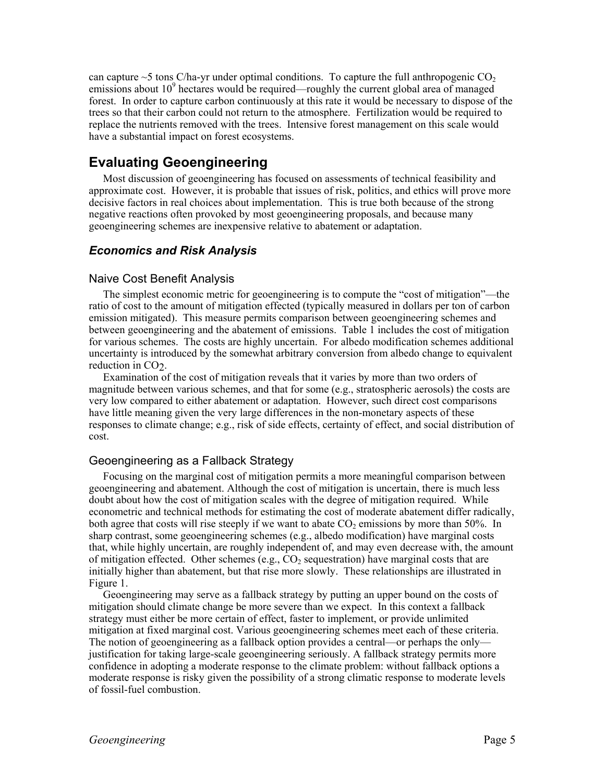can capture  $\sim$  5 tons C/ha-yr under optimal conditions. To capture the full anthropogenic CO<sub>2</sub> emissions about  $10^9$  hectares would be required—roughly the current global area of managed forest. In order to capture carbon continuously at this rate it would be necessary to dispose of the trees so that their carbon could not return to the atmosphere. Fertilization would be required to replace the nutrients removed with the trees. Intensive forest management on this scale would have a substantial impact on forest ecosystems.

## **Evaluating Geoengineering**

Most discussion of geoengineering has focused on assessments of technical feasibility and approximate cost. However, it is probable that issues of risk, politics, and ethics will prove more decisive factors in real choices about implementation. This is true both because of the strong negative reactions often provoked by most geoengineering proposals, and because many geoengineering schemes are inexpensive relative to abatement or adaptation.

## *Economics and Risk Analysis*

### Naive Cost Benefit Analysis

The simplest economic metric for geoengineering is to compute the "cost of mitigation"—the ratio of cost to the amount of mitigation effected (typically measured in dollars per ton of carbon emission mitigated). This measure permits comparison between geoengineering schemes and between geoengineering and the abatement of emissions. Table 1 includes the cost of mitigation for various schemes. The costs are highly uncertain. For albedo modification schemes additional uncertainty is introduced by the somewhat arbitrary conversion from albedo change to equivalent reduction in  $CO<sub>2</sub>$ .

Examination of the cost of mitigation reveals that it varies by more than two orders of magnitude between various schemes, and that for some (e.g., stratospheric aerosols) the costs are very low compared to either abatement or adaptation. However, such direct cost comparisons have little meaning given the very large differences in the non-monetary aspects of these responses to climate change; e.g., risk of side effects, certainty of effect, and social distribution of cost.

### Geoengineering as a Fallback Strategy

Focusing on the marginal cost of mitigation permits a more meaningful comparison between geoengineering and abatement. Although the cost of mitigation is uncertain, there is much less doubt about how the cost of mitigation scales with the degree of mitigation required. While econometric and technical methods for estimating the cost of moderate abatement differ radically, both agree that costs will rise steeply if we want to abate  $CO<sub>2</sub>$  emissions by more than 50%. In sharp contrast, some geoengineering schemes (e.g., albedo modification) have marginal costs that, while highly uncertain, are roughly independent of, and may even decrease with, the amount of mitigation effected. Other schemes (e.g.,  $CO_2$  sequestration) have marginal costs that are initially higher than abatement, but that rise more slowly. These relationships are illustrated in Figure 1.

Geoengineering may serve as a fallback strategy by putting an upper bound on the costs of mitigation should climate change be more severe than we expect. In this context a fallback strategy must either be more certain of effect, faster to implement, or provide unlimited mitigation at fixed marginal cost. Various geoengineering schemes meet each of these criteria. The notion of geoengineering as a fallback option provides a central—or perhaps the only justification for taking large-scale geoengineering seriously. A fallback strategy permits more confidence in adopting a moderate response to the climate problem: without fallback options a moderate response is risky given the possibility of a strong climatic response to moderate levels of fossil-fuel combustion.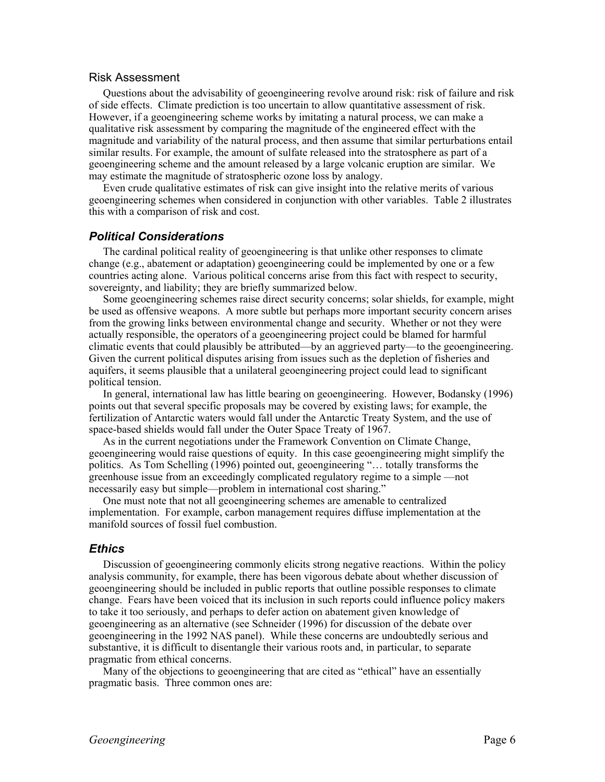#### Risk Assessment

Questions about the advisability of geoengineering revolve around risk: risk of failure and risk of side effects. Climate prediction is too uncertain to allow quantitative assessment of risk. However, if a geoengineering scheme works by imitating a natural process, we can make a qualitative risk assessment by comparing the magnitude of the engineered effect with the magnitude and variability of the natural process, and then assume that similar perturbations entail similar results. For example, the amount of sulfate released into the stratosphere as part of a geoengineering scheme and the amount released by a large volcanic eruption are similar. We may estimate the magnitude of stratospheric ozone loss by analogy.

Even crude qualitative estimates of risk can give insight into the relative merits of various geoengineering schemes when considered in conjunction with other variables. Table 2 illustrates this with a comparison of risk and cost.

#### *Political Considerations*

The cardinal political reality of geoengineering is that unlike other responses to climate change (e.g., abatement or adaptation) geoengineering could be implemented by one or a few countries acting alone. Various political concerns arise from this fact with respect to security, sovereignty, and liability; they are briefly summarized below.

Some geoengineering schemes raise direct security concerns; solar shields, for example, might be used as offensive weapons. A more subtle but perhaps more important security concern arises from the growing links between environmental change and security. Whether or not they were actually responsible, the operators of a geoengineering project could be blamed for harmful climatic events that could plausibly be attributed—by an aggrieved party—to the geoengineering. Given the current political disputes arising from issues such as the depletion of fisheries and aquifers, it seems plausible that a unilateral geoengineering project could lead to significant political tension.

In general, international law has little bearing on geoengineering. However, Bodansky (1996) points out that several specific proposals may be covered by existing laws; for example, the fertilization of Antarctic waters would fall under the Antarctic Treaty System, and the use of space-based shields would fall under the Outer Space Treaty of 1967.

As in the current negotiations under the Framework Convention on Climate Change, geoengineering would raise questions of equity. In this case geoengineering might simplify the politics. As Tom Schelling (1996) pointed out, geoengineering "… totally transforms the greenhouse issue from an exceedingly complicated regulatory regime to a simple —not necessarily easy but simple—problem in international cost sharing."

One must note that not all geoengineering schemes are amenable to centralized implementation. For example, carbon management requires diffuse implementation at the manifold sources of fossil fuel combustion.

#### *Ethics*

Discussion of geoengineering commonly elicits strong negative reactions. Within the policy analysis community, for example, there has been vigorous debate about whether discussion of geoengineering should be included in public reports that outline possible responses to climate change. Fears have been voiced that its inclusion in such reports could influence policy makers to take it too seriously, and perhaps to defer action on abatement given knowledge of geoengineering as an alternative (see Schneider (1996) for discussion of the debate over geoengineering in the 1992 NAS panel). While these concerns are undoubtedly serious and substantive, it is difficult to disentangle their various roots and, in particular, to separate pragmatic from ethical concerns.

Many of the objections to geoengineering that are cited as "ethical" have an essentially pragmatic basis. Three common ones are: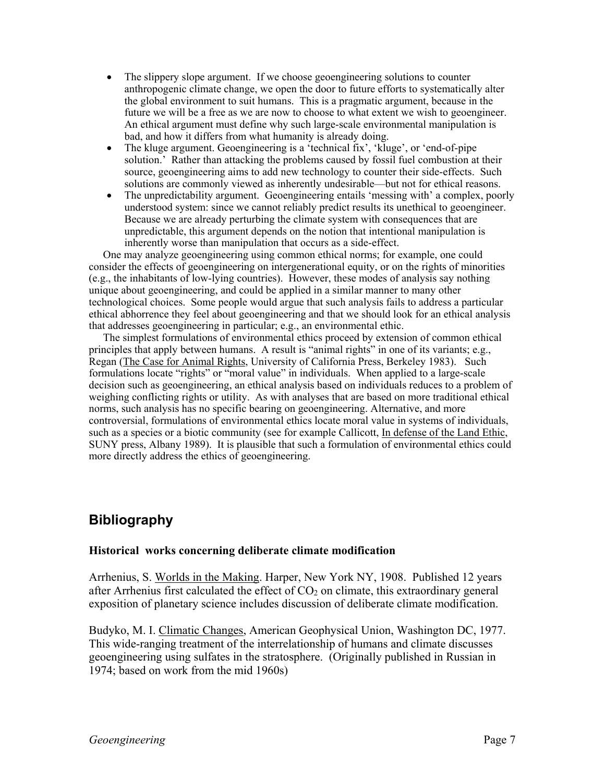- The slippery slope argument. If we choose geoengineering solutions to counter anthropogenic climate change, we open the door to future efforts to systematically alter the global environment to suit humans. This is a pragmatic argument, because in the future we will be a free as we are now to choose to what extent we wish to geoengineer. An ethical argument must define why such large-scale environmental manipulation is bad, and how it differs from what humanity is already doing.
- The kluge argument. Geoengineering is a 'technical fix', 'kluge', or 'end-of-pipe solution.' Rather than attacking the problems caused by fossil fuel combustion at their source, geoengineering aims to add new technology to counter their side-effects. Such solutions are commonly viewed as inherently undesirable—but not for ethical reasons.
- The unpredictability argument. Geoengineering entails 'messing with' a complex, poorly understood system: since we cannot reliably predict results its unethical to geoengineer. Because we are already perturbing the climate system with consequences that are unpredictable, this argument depends on the notion that intentional manipulation is inherently worse than manipulation that occurs as a side-effect.

One may analyze geoengineering using common ethical norms; for example, one could consider the effects of geoengineering on intergenerational equity, or on the rights of minorities (e.g., the inhabitants of low-lying countries). However, these modes of analysis say nothing unique about geoengineering, and could be applied in a similar manner to many other technological choices. Some people would argue that such analysis fails to address a particular ethical abhorrence they feel about geoengineering and that we should look for an ethical analysis that addresses geoengineering in particular; e.g., an environmental ethic.

The simplest formulations of environmental ethics proceed by extension of common ethical principles that apply between humans. A result is "animal rights" in one of its variants; e.g., Regan (The Case for Animal Rights, University of California Press, Berkeley 1983). Such formulations locate "rights" or "moral value" in individuals. When applied to a large-scale decision such as geoengineering, an ethical analysis based on individuals reduces to a problem of weighing conflicting rights or utility. As with analyses that are based on more traditional ethical norms, such analysis has no specific bearing on geoengineering. Alternative, and more controversial, formulations of environmental ethics locate moral value in systems of individuals, such as a species or a biotic community (see for example Callicott, In defense of the Land Ethic, SUNY press, Albany 1989). It is plausible that such a formulation of environmental ethics could more directly address the ethics of geoengineering.

## **Bibliography**

### **Historical works concerning deliberate climate modification**

Arrhenius, S. Worlds in the Making. Harper, New York NY, 1908. Published 12 years after Arrhenius first calculated the effect of  $CO<sub>2</sub>$  on climate, this extraordinary general exposition of planetary science includes discussion of deliberate climate modification.

Budyko, M. I. Climatic Changes, American Geophysical Union, Washington DC, 1977. This wide-ranging treatment of the interrelationship of humans and climate discusses geoengineering using sulfates in the stratosphere. (Originally published in Russian in 1974; based on work from the mid 1960s)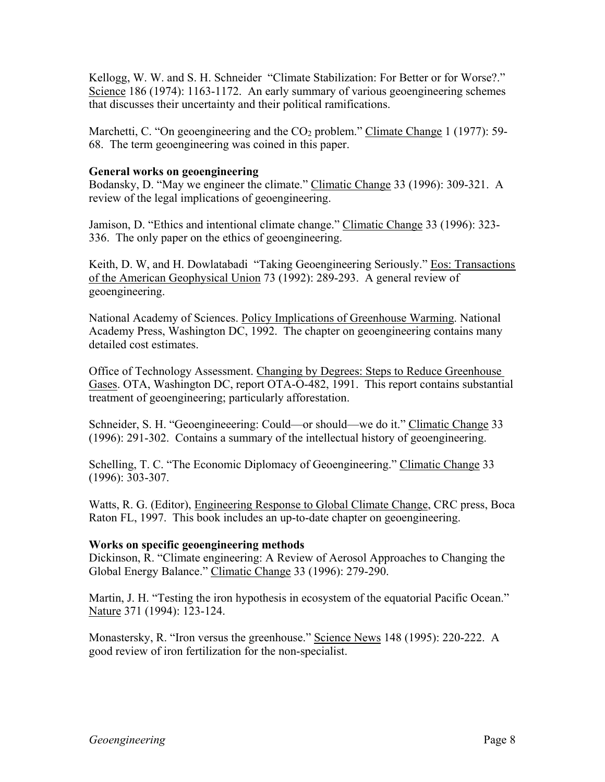Kellogg, W. W. and S. H. Schneider "Climate Stabilization: For Better or for Worse?." Science 186 (1974): 1163-1172. An early summary of various geoengineering schemes that discusses their uncertainty and their political ramifications.

Marchetti, C. "On geoengineering and the  $CO<sub>2</sub>$  problem." Climate Change 1 (1977): 59-68. The term geoengineering was coined in this paper.

### **General works on geoengineering**

Bodansky, D. "May we engineer the climate." Climatic Change 33 (1996): 309-321. A review of the legal implications of geoengineering.

Jamison, D. "Ethics and intentional climate change." Climatic Change 33 (1996): 323- 336. The only paper on the ethics of geoengineering.

Keith, D. W, and H. Dowlatabadi "Taking Geoengineering Seriously." Eos: Transactions of the American Geophysical Union 73 (1992): 289-293. A general review of geoengineering.

National Academy of Sciences. Policy Implications of Greenhouse Warming. National Academy Press, Washington DC, 1992. The chapter on geoengineering contains many detailed cost estimates.

Office of Technology Assessment. Changing by Degrees: Steps to Reduce Greenhouse Gases. OTA, Washington DC, report OTA-O-482, 1991. This report contains substantial treatment of geoengineering; particularly afforestation.

Schneider, S. H. "Geoengineeering: Could—or should—we do it." Climatic Change 33 (1996): 291-302. Contains a summary of the intellectual history of geoengineering.

Schelling, T. C. "The Economic Diplomacy of Geoengineering." Climatic Change 33 (1996): 303-307.

Watts, R. G. (Editor), Engineering Response to Global Climate Change, CRC press, Boca Raton FL, 1997. This book includes an up-to-date chapter on geoengineering.

#### **Works on specific geoengineering methods**

Dickinson, R. "Climate engineering: A Review of Aerosol Approaches to Changing the Global Energy Balance." Climatic Change 33 (1996): 279-290.

Martin, J. H. "Testing the iron hypothesis in ecosystem of the equatorial Pacific Ocean." Nature 371 (1994): 123-124.

Monastersky, R. "Iron versus the greenhouse." Science News 148 (1995): 220-222. A good review of iron fertilization for the non-specialist.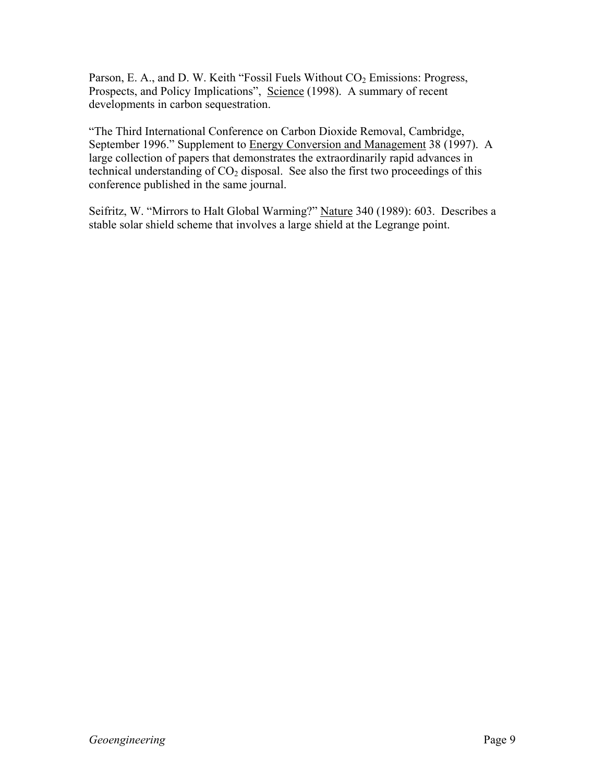Parson, E. A., and D. W. Keith "Fossil Fuels Without  $CO<sub>2</sub>$  Emissions: Progress, Prospects, and Policy Implications", Science (1998). A summary of recent developments in carbon sequestration.

"The Third International Conference on Carbon Dioxide Removal, Cambridge, September 1996." Supplement to Energy Conversion and Management 38 (1997). A large collection of papers that demonstrates the extraordinarily rapid advances in technical understanding of  $CO<sub>2</sub>$  disposal. See also the first two proceedings of this conference published in the same journal.

Seifritz, W. "Mirrors to Halt Global Warming?" Nature 340 (1989): 603. Describes a stable solar shield scheme that involves a large shield at the Legrange point.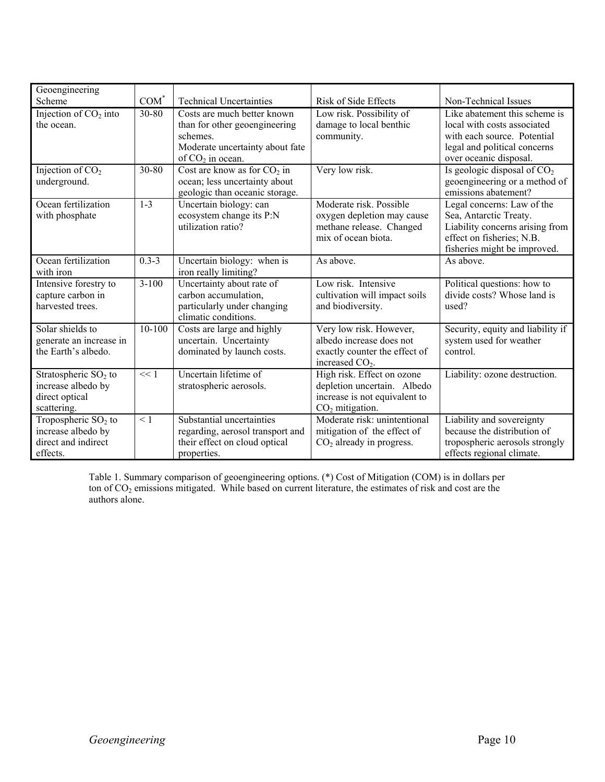| Geoengineering                                                                          |            |                                                                                                                                   |                                                                                                                     |                                                                                                                                                       |
|-----------------------------------------------------------------------------------------|------------|-----------------------------------------------------------------------------------------------------------------------------------|---------------------------------------------------------------------------------------------------------------------|-------------------------------------------------------------------------------------------------------------------------------------------------------|
| Scheme                                                                                  | $COM^*$    | <b>Technical Uncertainties</b>                                                                                                    | Risk of Side Effects                                                                                                | Non-Technical Issues                                                                                                                                  |
| Injection of $CO2$ into<br>the ocean.                                                   | $30 - 80$  | Costs are much better known<br>than for other geoengineering<br>schemes.<br>Moderate uncertainty about fate<br>of $CO2$ in ocean. | Low risk. Possibility of<br>damage to local benthic<br>community.                                                   | Like abatement this scheme is<br>local with costs associated<br>with each source. Potential<br>legal and political concerns<br>over oceanic disposal. |
| Injection of $CO2$<br>underground.                                                      | 30-80      | Cost are know as for $CO2$ in<br>ocean; less uncertainty about<br>geologic than oceanic storage.                                  | Very low risk.                                                                                                      | Is geologic disposal of $CO2$<br>geoengineering or a method of<br>emissions abatement?                                                                |
| Ocean fertilization<br>with phosphate                                                   | $1 - 3$    | Uncertain biology: can<br>ecosystem change its P:N<br>utilization ratio?                                                          | Moderate risk. Possible<br>oxygen depletion may cause<br>methane release. Changed<br>mix of ocean biota.            | Legal concerns: Law of the<br>Sea, Antarctic Treaty.<br>Liability concerns arising from<br>effect on fisheries; N.B.<br>fisheries might be improved.  |
| Ocean fertilization<br>with iron                                                        | $0.3 - 3$  | Uncertain biology: when is<br>iron really limiting?                                                                               | As above.                                                                                                           | As above.                                                                                                                                             |
| Intensive forestry to<br>capture carbon in<br>harvested trees.                          | $3 - 100$  | Uncertainty about rate of<br>carbon accumulation,<br>particularly under changing<br>climatic conditions.                          | Low risk. Intensive<br>cultivation will impact soils<br>and biodiversity.                                           | Political questions: how to<br>divide costs? Whose land is<br>used?                                                                                   |
| Solar shields to<br>generate an increase in<br>the Earth's albedo.                      | $10 - 100$ | Costs are large and highly<br>uncertain. Uncertainty<br>dominated by launch costs.                                                | Very low risk. However,<br>albedo increase does not<br>exactly counter the effect of<br>increased CO <sub>2</sub> . | Security, equity and liability if<br>system used for weather<br>control.                                                                              |
| Stratospheric SO <sub>2</sub> to<br>increase albedo by<br>direct optical<br>scattering. | << 1       | Uncertain lifetime of<br>stratospheric aerosols.                                                                                  | High risk. Effect on ozone<br>depletion uncertain. Albedo<br>increase is not equivalent to<br>$CO2$ mitigation.     | Liability: ozone destruction.                                                                                                                         |
| Tropospheric $SO2$ to<br>increase albedo by<br>direct and indirect<br>effects.          | < 1        | Substantial uncertainties<br>regarding, aerosol transport and<br>their effect on cloud optical<br>properties.                     | Moderate risk: unintentional<br>mitigation of the effect of<br>$CO2$ already in progress.                           | Liability and sovereignty<br>because the distribution of<br>tropospheric aerosols strongly<br>effects regional climate.                               |

Table 1. Summary comparison of geoengineering options. (\*) Cost of Mitigation (COM) is in dollars per ton of CO<sub>2</sub> emissions mitigated. While based on current literature, the estimates of risk and cost are the authors alone.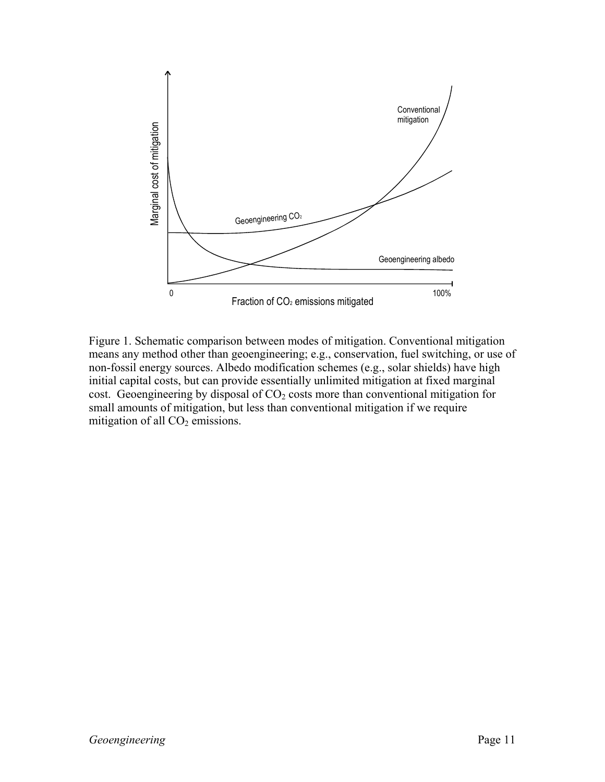

Figure 1. Schematic comparison between modes of mitigation. Conventional mitigation means any method other than geoengineering; e.g., conservation, fuel switching, or use of non-fossil energy sources. Albedo modification schemes (e.g., solar shields) have high initial capital costs, but can provide essentially unlimited mitigation at fixed marginal cost. Geoengineering by disposal of  $CO<sub>2</sub>$  costs more than conventional mitigation for small amounts of mitigation, but less than conventional mitigation if we require mitigation of all  $CO<sub>2</sub>$  emissions.